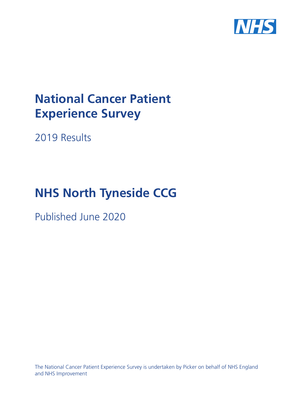

# **National Cancer Patient Experience Survey**

2019 Results

# **NHS North Tyneside CCG**

Published June 2020

The National Cancer Patient Experience Survey is undertaken by Picker on behalf of NHS England and NHS Improvement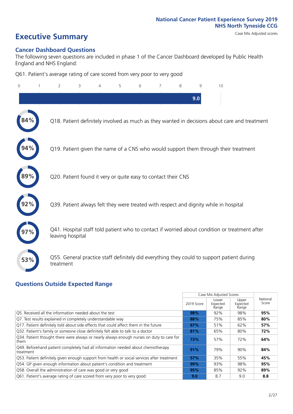# **Executive Summary** Case Mix Adjusted scores

#### **Cancer Dashboard Questions**

The following seven questions are included in phase 1 of the Cancer Dashboard developed by Public Health England and NHS England:

Q61. Patient's average rating of care scored from very poor to very good

| $\mathbf{0}$ | $\overline{2}$                                                | 3 | 5 | 6 | 7 | 8 | 9   | 10                                                                                            |  |
|--------------|---------------------------------------------------------------|---|---|---|---|---|-----|-----------------------------------------------------------------------------------------------|--|
|              |                                                               |   |   |   |   |   | 9.0 |                                                                                               |  |
|              |                                                               |   |   |   |   |   |     | Q18. Patient definitely involved as much as they wanted in decisions about care and treatment |  |
|              |                                                               |   |   |   |   |   |     | Q19. Patient given the name of a CNS who would support them through their treatment           |  |
|              | Q20. Patient found it very or quite easy to contact their CNS |   |   |   |   |   |     |                                                                                               |  |
|              |                                                               |   |   |   |   |   |     | Q39. Patient always felt they were treated with respect and dignity while in hospital         |  |
|              | leaving hospital                                              |   |   |   |   |   |     | Q41. Hospital staff told patient who to contact if worried about condition or treatment after |  |
| 53%          | treatment                                                     |   |   |   |   |   |     | Q55. General practice staff definitely did everything they could to support patient during    |  |

### **Questions Outside Expected Range**

|                                                                                                   |            | Case Mix Adjusted Scores   |                            |                   |
|---------------------------------------------------------------------------------------------------|------------|----------------------------|----------------------------|-------------------|
|                                                                                                   | 2019 Score | Lower<br>Expected<br>Range | Upper<br>Expected<br>Range | National<br>Score |
| O5. Received all the information needed about the test                                            | 98%        | 92%                        | 98%                        | 95%               |
| Q7. Test results explained in completely understandable way                                       | 88%        | 75%                        | 85%                        | 80%               |
| Q17. Patient definitely told about side effects that could affect them in the future              | 67%        | 51%                        | 62%                        | 57%               |
| Q32. Patient's family or someone close definitely felt able to talk to a doctor                   | 81%        | 65%                        | 80%                        | 72%               |
| Q34. Patient thought there were always or nearly always enough nurses on duty to care for<br>them | 73%        | 57%                        | 72%                        | 64%               |
| Q49. Beforehand patient completely had all information needed about chemotherapy<br>treatment     | 91%        | 79%                        | 90%                        | 84%               |
| Q53. Patient definitely given enough support from health or social services after treatment       | 57%        | 35%                        | 55%                        | 45%               |
| Q54. GP given enough information about patient's condition and treatment                          | 99%        | 93%                        | 98%                        | 95%               |
| Q58. Overall the administration of care was good or very good                                     | 95%        | 85%                        | 92%                        | 89%               |
| Q61. Patient's average rating of care scored from very poor to very good                          | 9.0        | 8.7                        | 9.0                        | 8.8               |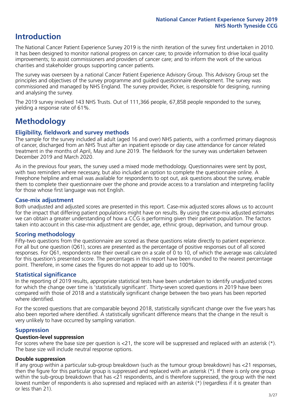# **Introduction**

The National Cancer Patient Experience Survey 2019 is the ninth iteration of the survey first undertaken in 2010. It has been designed to monitor national progress on cancer care; to provide information to drive local quality improvements; to assist commissioners and providers of cancer care; and to inform the work of the various charities and stakeholder groups supporting cancer patients.

The survey was overseen by a national Cancer Patient Experience Advisory Group. This Advisory Group set the principles and objectives of the survey programme and guided questionnaire development. The survey was commissioned and managed by NHS England. The survey provider, Picker, is responsible for designing, running and analysing the survey.

The 2019 survey involved 143 NHS Trusts. Out of 111,366 people, 67,858 people responded to the survey, yielding a response rate of 61%.

# **Methodology**

#### **Eligibility, eldwork and survey methods**

The sample for the survey included all adult (aged 16 and over) NHS patients, with a confirmed primary diagnosis of cancer, discharged from an NHS Trust after an inpatient episode or day case attendance for cancer related treatment in the months of April, May and June 2019. The fieldwork for the survey was undertaken between December 2019 and March 2020.

As in the previous four years, the survey used a mixed mode methodology. Questionnaires were sent by post, with two reminders where necessary, but also included an option to complete the questionnaire online. A Freephone helpline and email was available for respondents to opt out, ask questions about the survey, enable them to complete their questionnaire over the phone and provide access to a translation and interpreting facility for those whose first language was not English.

#### **Case-mix adjustment**

Both unadjusted and adjusted scores are presented in this report. Case-mix adjusted scores allows us to account for the impact that differing patient populations might have on results. By using the case-mix adjusted estimates we can obtain a greater understanding of how a CCG is performing given their patient population. The factors taken into account in this case-mix adjustment are gender, age, ethnic group, deprivation, and tumour group.

#### **Scoring methodology**

Fifty-two questions from the questionnaire are scored as these questions relate directly to patient experience. For all but one question (Q61), scores are presented as the percentage of positive responses out of all scored responses. For Q61, respondents rate their overall care on a scale of 0 to 10, of which the average was calculated for this question's presented score. The percentages in this report have been rounded to the nearest percentage point. Therefore, in some cases the figures do not appear to add up to 100%.

#### **Statistical significance**

In the reporting of 2019 results, appropriate statistical tests have been undertaken to identify unadjusted scores for which the change over time is 'statistically significant'. Thirty-seven scored questions in 2019 have been compared with those of 2018 and a statistically significant change between the two years has been reported where identified.

For the scored questions that are comparable beyond 2018, statistically significant change over the five years has also been reported where identified. A statistically significant difference means that the change in the result is very unlikely to have occurred by sampling variation.

#### **Suppression**

#### **Question-level suppression**

For scores where the base size per question is  $<$ 21, the score will be suppressed and replaced with an asterisk (\*). The base size will include neutral response options.

#### **Double suppression**

If any group within a particular sub-group breakdown (such as the tumour group breakdown) has <21 responses, then the figure for this particular group is suppressed and replaced with an asterisk (\*). If there is only one group within the sub-group breakdown that has <21 respondents, and is therefore suppressed, the group with the next lowest number of respondents is also supressed and replaced with an asterisk (\*) (regardless if it is greater than or less than 21).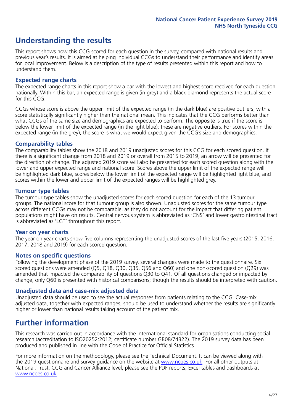# **Understanding the results**

This report shows how this CCG scored for each question in the survey, compared with national results and previous year's results. It is aimed at helping individual CCGs to understand their performance and identify areas for local improvement. Below is a description of the type of results presented within this report and how to understand them.

#### **Expected range charts**

The expected range charts in this report show a bar with the lowest and highest score received for each question nationally. Within this bar, an expected range is given (in grey) and a black diamond represents the actual score for this CCG.

CCGs whose score is above the upper limit of the expected range (in the dark blue) are positive outliers, with a score statistically significantly higher than the national mean. This indicates that the CCG performs better than what CCGs of the same size and demographics are expected to perform. The opposite is true if the score is below the lower limit of the expected range (in the light blue); these are negative outliers. For scores within the expected range (in the grey), the score is what we would expect given the CCG's size and demographics.

#### **Comparability tables**

The comparability tables show the 2018 and 2019 unadjusted scores for this CCG for each scored question. If there is a significant change from 2018 and 2019 or overall from 2015 to 2019, an arrow will be presented for the direction of change. The adjusted 2019 score will also be presented for each scored question along with the lower and upper expected range and national score. Scores above the upper limit of the expected range will be highlighted dark blue, scores below the lower limit of the expected range will be highlighted light blue, and scores within the lower and upper limit of the expected ranges will be highlighted grey.

#### **Tumour type tables**

The tumour type tables show the unadjusted scores for each scored question for each of the 13 tumour groups. The national score for that tumour group is also shown. Unadjusted scores for the same tumour type across different CCGs may not be comparable, as they do not account for the impact that differing patient populations might have on results. Central nervous system is abbreviated as 'CNS' and lower gastrointestinal tract is abbreviated as 'LGT' throughout this report.

#### **Year on year charts**

The year on year charts show five columns representing the unadjusted scores of the last five years (2015, 2016, 2017, 2018 and 2019) for each scored question.

#### **Notes on specific questions**

Following the development phase of the 2019 survey, several changes were made to the questionnaire. Six scored questions were amended (Q5, Q18, Q30, Q35, Q56 and Q60) and one non-scored question (Q29) was amended that impacted the comparability of questions Q30 to Q41. Of all questions changed or impacted by change, only Q60 is presented with historical comparisons; though the results should be interpreted with caution.

#### **Unadjusted data and case-mix adjusted data**

Unadjusted data should be used to see the actual responses from patients relating to the CCG. Case-mix adjusted data, together with expected ranges, should be used to understand whether the results are significantly higher or lower than national results taking account of the patient mix.

### **Further information**

This research was carried out in accordance with the international standard for organisations conducting social research (accreditation to ISO20252:2012; certificate number GB08/74322). The 2019 survey data has been produced and published in line with the Code of Practice for Official Statistics.

For more information on the methodology, please see the Technical Document. It can be viewed along with the 2019 questionnaire and survey quidance on the website at [www.ncpes.co.uk](https://www.ncpes.co.uk/supporting-documents). For all other outputs at National, Trust, CCG and Cancer Alliance level, please see the PDF reports, Excel tables and dashboards at [www.ncpes.co.uk.](https://www.ncpes.co.uk/current-results)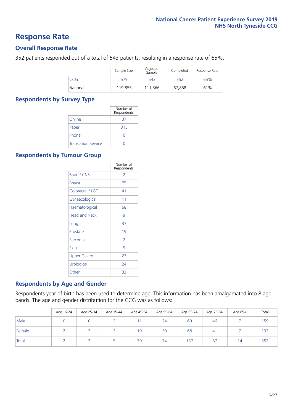### **Response Rate**

#### **Overall Response Rate**

352 patients responded out of a total of 543 patients, resulting in a response rate of 65%.

|            | Sample Size | Adjusted<br>Sample | Completed | Response Rate |
|------------|-------------|--------------------|-----------|---------------|
| <b>CCG</b> | 579         | 543                | 352       | 65%           |
| National   | 119.855     | 111.366            | 67.858    | 61%           |

#### **Respondents by Survey Type**

|                            | Number of<br>Respondents |
|----------------------------|--------------------------|
| Online                     | 37                       |
| Paper                      | 315                      |
| Phone                      | O                        |
| <b>Translation Service</b> |                          |

#### **Respondents by Tumour Group**

|                      | Number of<br>Respondents |
|----------------------|--------------------------|
| <b>Brain / CNS</b>   | $\mathcal{P}$            |
| <b>Breast</b>        | 75                       |
| Colorectal / LGT     | 41                       |
| Gynaecological       | 11                       |
| Haematological       | 68                       |
| <b>Head and Neck</b> | 9                        |
| Lung                 | 37                       |
| Prostate             | 19                       |
| Sarcoma              | $\mathcal{P}$            |
| Skin                 | 9                        |
| <b>Upper Gastro</b>  | 23                       |
| Urological           | 24                       |
| Other                | 32                       |

#### **Respondents by Age and Gender**

Respondents year of birth has been used to determine age. This information has been amalgamated into 8 age bands. The age and gender distribution for the CCG was as follows:

|        | Age 16-24 | Age 25-34 | Age 35-44 | Age 45-54 | Age 55-64 | Age 65-74 | Age 75-84 | Age 85+ | Total |
|--------|-----------|-----------|-----------|-----------|-----------|-----------|-----------|---------|-------|
| Male   |           |           |           |           | 24        | 69        | 46        |         | 159   |
| Female |           |           |           | 19        | 50        | 68        | 41        |         | 193   |
| Total  |           |           |           | 30        | 74        | 137       | 87        | i 4     | 352   |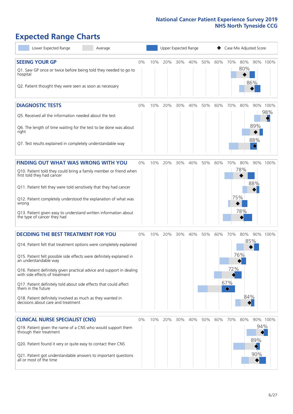# **Expected Range Charts**

| Lower Expected Range<br>Average                                                                                                                                                                                                                                                                                                                                                                                                                                                                                             |    |     | Upper Expected Range<br>Case Mix Adjusted Score |     |     |     |     |                        |                                      |                   |                 |
|-----------------------------------------------------------------------------------------------------------------------------------------------------------------------------------------------------------------------------------------------------------------------------------------------------------------------------------------------------------------------------------------------------------------------------------------------------------------------------------------------------------------------------|----|-----|-------------------------------------------------|-----|-----|-----|-----|------------------------|--------------------------------------|-------------------|-----------------|
| <b>SEEING YOUR GP</b><br>Q1. Saw GP once or twice before being told they needed to go to<br>hospital<br>Q2. Patient thought they were seen as soon as necessary                                                                                                                                                                                                                                                                                                                                                             | 0% | 10% | 20%                                             | 30% | 40% | 50% | 60% | 70%                    | 80%<br>80%                           | 86%               | 90% 100%        |
| <b>DIAGNOSTIC TESTS</b><br>Q5. Received all the information needed about the test<br>Q6. The length of time waiting for the test to be done was about<br>right<br>Q7. Test results explained in completely understandable way                                                                                                                                                                                                                                                                                               | 0% | 10% | 20%                                             | 30% | 40% | 50% | 60% | 70%                    | 80%                                  | 89%<br>88%        | 90% 100%<br>98% |
| <b>FINDING OUT WHAT WAS WRONG WITH YOU</b><br>Q10. Patient told they could bring a family member or friend when<br>first told they had cancer<br>Q11. Patient felt they were told sensitively that they had cancer<br>Q12. Patient completely understood the explanation of what was<br>wrong<br>Q13. Patient given easy to understand written information about<br>the type of cancer they had                                                                                                                             | 0% | 10% | 20%                                             | 30% | 40% | 50% | 60% | 70%                    | 80%<br>78%<br>75%<br>78%             | 88%               | 90% 100%        |
| <b>DECIDING THE BEST TREATMENT FOR YOU</b><br>Q14. Patient felt that treatment options were completely explained<br>Q15. Patient felt possible side effects were definitely explained in<br>an understandable way<br>Q16. Patient definitely given practical advice and support in dealing<br>with side effects of treatment<br>Q17. Patient definitely told about side effects that could affect<br>them in the future<br>Q18. Patient definitely involved as much as they wanted in<br>decisions about care and treatment | 0% | 10% | 20%                                             | 30% | 40% | 50% | 60% | 70%<br>72%<br>67%<br>♦ | 80%<br>76%<br>84%<br>$\blacklozenge$ | 90%<br>85%        | 100%            |
| <b>CLINICAL NURSE SPECIALIST (CNS)</b><br>Q19. Patient given the name of a CNS who would support them<br>through their treatment<br>Q20. Patient found it very or quite easy to contact their CNS<br>Q21. Patient got understandable answers to important questions<br>all or most of the time                                                                                                                                                                                                                              | 0% | 10% | 20%                                             | 30% | 40% | 50% | 60% | 70%                    | 80%                                  | 94%<br>89%<br>90% | 90% 100%        |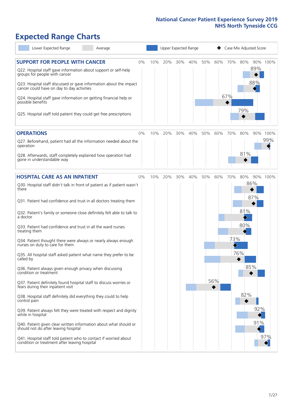# **Expected Range Charts**

| Lower Expected Range<br>Average                                                                                                                                                                                                                                                                                                                         |       |     |     |     | Upper Expected Range |     |     | Case Mix Adjusted Score |     |            |          |
|---------------------------------------------------------------------------------------------------------------------------------------------------------------------------------------------------------------------------------------------------------------------------------------------------------------------------------------------------------|-------|-----|-----|-----|----------------------|-----|-----|-------------------------|-----|------------|----------|
| <b>SUPPORT FOR PEOPLE WITH CANCER</b><br>Q22. Hospital staff gave information about support or self-help<br>groups for people with cancer<br>Q23. Hospital staff discussed or gave information about the impact<br>cancer could have on day to day activities<br>Q24. Hospital staff gave information on getting financial help or<br>possible benefits | $0\%$ | 10% | 20% | 30% | 40%                  | 50% | 60% | 70%<br>67%              | 80% | 89%<br>88% | 90% 100% |
| Q25. Hospital staff told patient they could get free prescriptions                                                                                                                                                                                                                                                                                      |       |     |     |     |                      |     |     |                         | 79% |            |          |
| <b>OPERATIONS</b>                                                                                                                                                                                                                                                                                                                                       | $0\%$ | 10% | 20% | 30% | 40%                  | 50% | 60% | 70%                     | 80% |            | 90% 100% |
| Q27. Beforehand, patient had all the information needed about the<br>operation<br>Q28. Afterwards, staff completely explained how operation had                                                                                                                                                                                                         |       |     |     |     |                      |     |     |                         | 81% |            | 99%      |
| gone in understandable way                                                                                                                                                                                                                                                                                                                              |       |     |     |     |                      |     |     |                         |     |            |          |
| <b>HOSPITAL CARE AS AN INPATIENT</b>                                                                                                                                                                                                                                                                                                                    | $0\%$ | 10% | 20% | 30% | 40%                  | 50% | 60% | 70%                     | 80% |            | 90% 100% |
| Q30. Hospital staff didn't talk in front of patient as if patient wasn't<br>there                                                                                                                                                                                                                                                                       |       |     |     |     |                      |     |     |                         |     | 86%<br>87% |          |
| Q31. Patient had confidence and trust in all doctors treating them                                                                                                                                                                                                                                                                                      |       |     |     |     |                      |     |     |                         |     |            |          |
| Q32. Patient's family or someone close definitely felt able to talk to<br>a doctor                                                                                                                                                                                                                                                                      |       |     |     |     |                      |     |     |                         | 81% |            |          |
| Q33. Patient had confidence and trust in all the ward nurses<br>treating them                                                                                                                                                                                                                                                                           |       |     |     |     |                      |     |     |                         | 80% |            |          |
| Q34. Patient thought there were always or nearly always enough<br>nurses on duty to care for them                                                                                                                                                                                                                                                       |       |     |     |     |                      |     |     | 73%<br>$\rightarrow$    |     |            |          |
| Q35. All hospital staff asked patient what name they prefer to be<br>called by                                                                                                                                                                                                                                                                          |       |     |     |     |                      |     |     |                         | 76% |            |          |
| Q36. Patient always given enough privacy when discussing<br>condition or treatment                                                                                                                                                                                                                                                                      |       |     |     |     |                      |     |     |                         |     | 85%        |          |
| Q37. Patient definitely found hospital staff to discuss worries or<br>fears during their inpatient visit                                                                                                                                                                                                                                                |       |     |     |     |                      |     | 56% |                         |     |            |          |
| Q38. Hospital staff definitely did everything they could to help<br>control pain                                                                                                                                                                                                                                                                        |       |     |     |     |                      |     |     |                         | 82% |            |          |
| Q39. Patient always felt they were treated with respect and dignity<br>while in hospital                                                                                                                                                                                                                                                                |       |     |     |     |                      |     |     |                         |     | 92%        |          |
| Q40. Patient given clear written information about what should or<br>should not do after leaving hospital                                                                                                                                                                                                                                               |       |     |     |     |                      |     |     |                         |     | 91%        |          |
| Q41. Hospital staff told patient who to contact if worried about<br>condition or treatment after leaving hospital                                                                                                                                                                                                                                       |       |     |     |     |                      |     |     |                         |     |            | 97%      |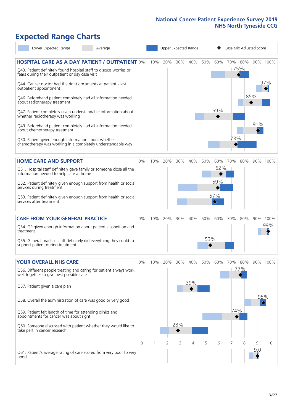# **Expected Range Charts**

|                                                        | Lower Expected Range                                                                                  | Average                                                                                                                         |       | Upper Expected Range |     |     |     |     | Case Mix Adjusted Score |     |                |                   |                 |
|--------------------------------------------------------|-------------------------------------------------------------------------------------------------------|---------------------------------------------------------------------------------------------------------------------------------|-------|----------------------|-----|-----|-----|-----|-------------------------|-----|----------------|-------------------|-----------------|
|                                                        | fears during their outpatient or day case visit                                                       | <b>HOSPITAL CARE AS A DAY PATIENT / OUTPATIENT 0%</b><br>Q43. Patient definitely found hospital staff to discuss worries or     |       | 10%                  | 20% | 30% | 40% | 50% | 60%                     |     | 70% 80%<br>75% |                   | 90% 100%<br>97% |
| outpatient appointment<br>about radiotherapy treatment |                                                                                                       | Q44. Cancer doctor had the right documents at patient's last<br>Q46. Beforehand patient completely had all information needed   |       |                      |     |     |     |     | 59%                     |     |                | 85%               |                 |
| about chemotherapy treatment                           | whether radiotherapy was working                                                                      | Q47. Patient completely given understandable information about<br>Q49. Beforehand patient completely had all information needed |       |                      |     |     |     |     |                         |     |                | 91%               |                 |
|                                                        | Q50. Patient given enough information about whether                                                   | chemotherapy was working in a completely understandable way                                                                     |       |                      |     |     |     |     |                         | 73% |                |                   |                 |
|                                                        | <b>HOME CARE AND SUPPORT</b>                                                                          |                                                                                                                                 | 0%    | 10%                  | 20% | 30% | 40% | 50% | 60%                     | 70% | 80%            |                   | 90% 100%        |
|                                                        | information needed to help care at home                                                               | Q51. Hospital staff definitely gave family or someone close all the                                                             |       |                      |     |     |     |     | 62%                     |     |                |                   |                 |
| services during treatment                              |                                                                                                       | Q52. Patient definitely given enough support from health or social                                                              |       |                      |     |     |     |     | 59%                     |     |                |                   |                 |
| services after treatment                               |                                                                                                       | Q53. Patient definitely given enough support from health or social                                                              |       |                      |     |     |     |     | 57%<br>$\Diamond$       |     |                |                   |                 |
|                                                        | <b>CARE FROM YOUR GENERAL PRACTICE</b>                                                                |                                                                                                                                 | 0%    | 10%                  | 20% | 30% | 40% | 50% | 60%                     | 70% | 80%            |                   | 90% 100%        |
| treatment                                              |                                                                                                       | Q54. GP given enough information about patient's condition and                                                                  |       |                      |     |     |     |     |                         |     |                |                   | 99%             |
| support patient during treatment                       |                                                                                                       | Q55. General practice staff definitely did everything they could to                                                             |       |                      |     |     |     | 53% |                         |     |                |                   |                 |
| <b>YOUR OVERALL NHS CARE</b>                           |                                                                                                       |                                                                                                                                 | $0\%$ | 10%                  | 20% | 30% | 40% | 50% | 60%                     | 70% | 80%            |                   | 90% 100%        |
| Q57. Patient given a care plan                         | well together to give best possible care                                                              | Q56. Different people treating and caring for patient always work                                                               |       |                      |     |     | 39% |     |                         |     | 77%            |                   |                 |
|                                                        |                                                                                                       | Q58. Overall the administration of care was good or very good                                                                   |       |                      |     |     |     |     |                         |     |                | 95%<br>$\Diamond$ |                 |
|                                                        | Q59. Patient felt length of time for attending clinics and<br>appointments for cancer was about right |                                                                                                                                 |       |                      |     |     |     |     |                         | 74% |                |                   |                 |
| take part in cancer research                           |                                                                                                       | Q60. Someone discussed with patient whether they would like to                                                                  |       |                      |     | 28% |     |     |                         |     |                |                   |                 |
|                                                        |                                                                                                       |                                                                                                                                 | 0     |                      | 2   | 3   | 4   | 5   | 6                       | 7   | 8              | 9                 | 10              |
| good                                                   |                                                                                                       | Q61. Patient's average rating of care scored from very poor to very                                                             |       |                      |     |     |     |     |                         |     |                | 9:0               |                 |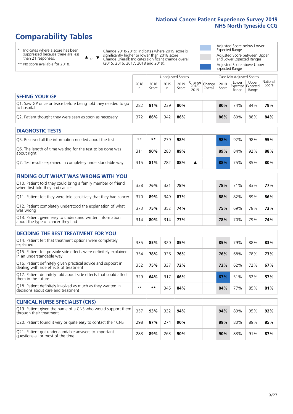# **Comparability Tables**

\* Indicates where a score has been suppressed because there are less than 21 responses.

\*\* No score available for 2018.

 $\triangle$  or  $\nabla$ 

Change 2018-2019: Indicates where 2019 score is significantly higher or lower than 2018 score Change Overall: Indicates significant change overall (2015, 2016, 2017, 2018 and 2019).

Adjusted Score below Lower Expected Range Adjusted Score between Upper and Lower Expected Ranges Adjusted Score above Upper Expected Range

|                                                                             | Unadjusted Scores<br>Case Mix Adjusted Scores |               |           |               |                        |                   |               |                |                                     |                   |
|-----------------------------------------------------------------------------|-----------------------------------------------|---------------|-----------|---------------|------------------------|-------------------|---------------|----------------|-------------------------------------|-------------------|
|                                                                             | 2018<br>n                                     | 2018<br>Score | 2019<br>n | 2019<br>Score | Change<br>2018<br>2019 | Change<br>Overall | 2019<br>Score | Lower<br>Range | Upper<br>Expected Expected<br>Range | National<br>Score |
| <b>SEEING YOUR GP</b>                                                       |                                               |               |           |               |                        |                   |               |                |                                     |                   |
| Q1. Saw GP once or twice before being told they needed to go<br>to hospital | 282                                           | 81%           | 239       | 80%           |                        |                   | 80%           | 74%            | 84%                                 | 79%               |
| Q2. Patient thought they were seen as soon as necessary                     | 372                                           | 86%           | 342       | 86%           |                        |                   | 86%           | 80%            | 88%                                 | 84%               |
|                                                                             |                                               |               |           |               |                        |                   |               |                |                                     |                   |

| <b>DIAGNOSTIC TESTS</b>                                                   |      |     |     |     |  |     |     |     |     |
|---------------------------------------------------------------------------|------|-----|-----|-----|--|-----|-----|-----|-----|
| O5. Received all the information needed about the test                    | $**$ | **  | 279 | 98% |  | 98% | 92% | 98% | 95% |
| Q6. The length of time waiting for the test to be done was<br>about right | 311  | 90% | 283 | 89% |  | 89% | 84% | 92% | 88% |
| Q7. Test results explained in completely understandable way               | 315  | 81% | 282 | 88% |  | 88% | 75% | 85% | 80% |

| <b>FINDING OUT WHAT WAS WRONG WITH YOU</b>                                                      |     |     |     |     |  |     |     |     |     |  |
|-------------------------------------------------------------------------------------------------|-----|-----|-----|-----|--|-----|-----|-----|-----|--|
| Q10. Patient told they could bring a family member or friend<br>when first told they had cancer | 338 | 76% | 321 | 78% |  | 78% | 71% | 83% | 77% |  |
| Q11. Patient felt they were told sensitively that they had cancer                               | 370 | 89% | 349 | 87% |  | 88% | 82% | 89% | 86% |  |
| Q12. Patient completely understood the explanation of what<br>was wrong                         | 373 | 75% | 352 | 74% |  | 75% | 69% | 78% | 73% |  |
| Q13. Patient given easy to understand written information<br>about the type of cancer they had  | 314 | 80% | 314 | 77% |  | 78% | 70% | 79% | 74% |  |

| <b>DECIDING THE BEST TREATMENT FOR YOU</b>                                                              |      |     |     |     |  |     |     |     |     |
|---------------------------------------------------------------------------------------------------------|------|-----|-----|-----|--|-----|-----|-----|-----|
| Q14. Patient felt that treatment options were completely<br>explained                                   | 335  | 85% | 320 | 85% |  | 85% | 79% | 88% | 83% |
| Q15. Patient felt possible side effects were definitely explained<br>in an understandable way           | 354  | 78% | 336 | 76% |  | 76% | 68% | 78% | 73% |
| Q16. Patient definitely given practical advice and support in<br>dealing with side effects of treatment | 352  | 75% | 337 | 72% |  | 72% | 62% | 72% | 67% |
| Q17. Patient definitely told about side effects that could affect<br>them in the future                 | 329  | 64% | 317 | 66% |  | 67% | 51% | 62% | 57% |
| Q18. Patient definitely involved as much as they wanted in<br>decisions about care and treatment        | $**$ | **  | 345 | 84% |  | 84% | 77% | 85% | 81% |

| <b>CLINICAL NURSE SPECIALIST (CNS)</b>                                                    |     |     |     |     |     |     |     |     |
|-------------------------------------------------------------------------------------------|-----|-----|-----|-----|-----|-----|-----|-----|
| [Q19] Patient given the name of a CNS who would support them<br>through their treatment   | 357 | 93% | 332 | 94% | 94% | 89% | 95% | 92% |
| Q20. Patient found it very or quite easy to contact their CNS                             | 298 | 87% | 274 | 90% | 89% | 80% | 89% | 85% |
| Q21. Patient got understandable answers to important<br>questions all or most of the time | 283 | 89% | 263 | 90% | 90% | 83% | 91% | 87% |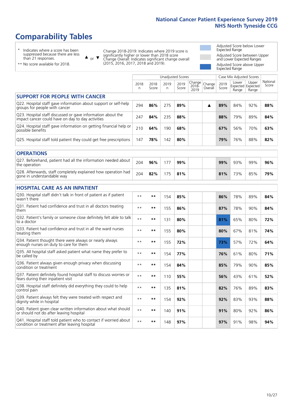# **Comparability Tables**

\* Indicates where a score has been suppressed because there are less than 21 responses.

\*\* No score available for 2018.

 $\triangle$  or  $\nabla$ 

Change 2018-2019: Indicates where 2019 score is significantly higher or lower than 2018 score Change Overall: Indicates significant change overall (2015, 2016, 2017, 2018 and 2019).

Adjusted Score below Lower Expected Range Adjusted Score between Upper and Lower Expected Ranges Adjusted Score above Upper Expected Range

|                                                                                                                   |              |               | <b>Unadjusted Scores</b> |               |                         |                   |               | Case Mix Adjusted Scores            |                |                   |
|-------------------------------------------------------------------------------------------------------------------|--------------|---------------|--------------------------|---------------|-------------------------|-------------------|---------------|-------------------------------------|----------------|-------------------|
|                                                                                                                   | 2018<br>n    | 2018<br>Score | 2019<br>n                | 2019<br>Score | Change<br>2018-<br>2019 | Change<br>Overall | 2019<br>Score | Lower<br>Expected Expected<br>Range | Upper<br>Range | National<br>Score |
| <b>SUPPORT FOR PEOPLE WITH CANCER</b>                                                                             |              |               |                          |               |                         |                   |               |                                     |                |                   |
| Q22. Hospital staff gave information about support or self-help<br>groups for people with cancer                  | 294          | 86%           | 275                      | 89%           |                         | ▲                 | 89%           | 84%                                 | 92%            | 88%               |
| Q23. Hospital staff discussed or gave information about the<br>impact cancer could have on day to day activities  | 247          | 84%           | 235                      | 88%           |                         |                   | 88%           | 79%                                 | 89%            | 84%               |
| Q24. Hospital staff gave information on getting financial help or<br>possible benefits                            | 210          | 64%           | 190                      | 68%           |                         |                   | 67%           | 56%                                 | 70%            | 63%               |
| Q25. Hospital staff told patient they could get free prescriptions                                                | 147          | 78%           | 142                      | 80%           |                         |                   | 79%           | 76%                                 | 88%            | 82%               |
| <b>OPERATIONS</b>                                                                                                 |              |               |                          |               |                         |                   |               |                                     |                |                   |
| Q27. Beforehand, patient had all the information needed about<br>the operation                                    | 204          | 96%           | 177                      | 99%           |                         |                   | 99%           | 93%                                 | 99%            | 96%               |
| Q28. Afterwards, staff completely explained how operation had<br>gone in understandable way                       | 204          | 82%           | 175                      | 81%           |                         |                   | 81%           | 73%                                 | 85%            | 79%               |
| <b>HOSPITAL CARE AS AN INPATIENT</b>                                                                              |              |               |                          |               |                         |                   |               |                                     |                |                   |
| Q30. Hospital staff didn't talk in front of patient as if patient<br>wasn't there                                 | $* *$        | $***$         | 154                      | 85%           |                         |                   | 86%           | 78%                                 | 89%            | 84%               |
| Q31. Patient had confidence and trust in all doctors treating<br>them                                             | $* *$        | $***$         | 155                      | 86%           |                         |                   | 87%           | 78%                                 | 90%            | 84%               |
| Q32. Patient's family or someone close definitely felt able to talk<br>to a doctor                                | $**$         | $***$         | 131                      | 80%           |                         |                   | 81%           | 65%                                 | 80%            | 72%               |
| Q33. Patient had confidence and trust in all the ward nurses<br>treating them                                     | $**$         | $***$         | 155                      | 80%           |                         |                   | 80%           | 67%                                 | 81%            | 74%               |
| Q34. Patient thought there were always or nearly always<br>enough nurses on duty to care for them                 | $* *$        | $***$         | 155                      | 72%           |                         |                   | 73%           | 57%                                 | 72%            | 64%               |
| Q35. All hospital staff asked patient what name they prefer to<br>be called by                                    | $**$         | $***$         | 154                      | 77%           |                         |                   | 76%           | 61%                                 | 80%            | 71%               |
| Q36. Patient always given enough privacy when discussing<br>condition or treatment                                | $**$         | $***$         | 154                      | 84%           |                         |                   | 85%           | 79%                                 | 90%            | 85%               |
| Q37. Patient definitely found hospital staff to discuss worries or<br>fears during their inpatient visit          | $**$         | $***$         | 110                      | 55%           |                         |                   | 56%           | 43%                                 | 61%            | 52%               |
| Q38. Hospital staff definitely did everything they could to help<br>control pain                                  | $* *$        | $**$          | 135                      | 81%           |                         |                   | 82%           | 76%                                 | 89%            | 83%               |
| Q39. Patient always felt they were treated with respect and<br>dignity while in hospital                          | $\star\star$ | $***$         | 154                      | 92%           |                         |                   | 92%           | 83%                                 | 93%            | 88%               |
| Q40. Patient given clear written information about what should<br>or should not do after leaving hospital         | $**$         | $***$         | 140                      | 91%           |                         |                   | 91%           | 80%                                 | 92%            | 86%               |
| Q41. Hospital staff told patient who to contact if worried about<br>condition or treatment after leaving hospital | $**$         | $***$         | 148                      | 97%           |                         |                   | 97%           | 91%                                 | 98%            | 94%               |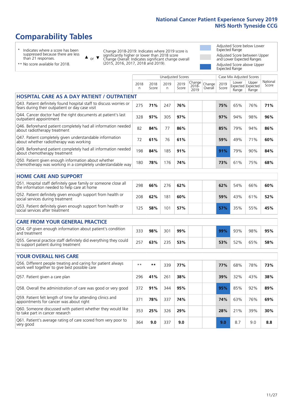Unadjusted Scores **Case Mix Adjusted Scores** 

# **Comparability Tables**

\* Indicates where a score has been suppressed because there are less than 21 responses.

 $\triangle$  or  $\nabla$ 

Change 2018-2019: Indicates where 2019 score is significantly higher or lower than 2018 score Change Overall: Indicates significant change overall (2015, 2016, 2017, 2018 and 2019).

Adjusted Score below Lower Expected Range Adjusted Score between Upper and Lower Expected Ranges Adjusted Score above Upper Expected Range

| ** No score available for 2018. |
|---------------------------------|
|---------------------------------|

|                                                                                                                       | 2018<br>n | 2018<br>Score | 2019<br>n | 2019<br>Score | Change<br>$2018 -$<br>2019 | Change<br>Overall | 2019<br>Score | Lower<br>Range | Upper<br>Expected Expected<br>Range | National<br>Score |
|-----------------------------------------------------------------------------------------------------------------------|-----------|---------------|-----------|---------------|----------------------------|-------------------|---------------|----------------|-------------------------------------|-------------------|
| <b>HOSPITAL CARE AS A DAY PATIENT / OUTPATIENT</b>                                                                    |           |               |           |               |                            |                   |               |                |                                     |                   |
| Q43. Patient definitely found hospital staff to discuss worries or<br>fears during their outpatient or day case visit | 275       | 71%           | 247       | 76%           |                            |                   | 75%           | 65%            | 76%                                 | 71%               |
| Q44. Cancer doctor had the right documents at patient's last<br>outpatient appointment                                | 328       | 97%           | 305       | 97%           |                            |                   | 97%           | 94%            | 98%                                 | 96%               |
| Q46. Beforehand patient completely had all information needed<br>about radiotherapy treatment                         | 82        | 84%           | 77        | 86%           |                            |                   | 85%           | 79%            | 94%                                 | 86%               |
| Q47. Patient completely given understandable information<br>about whether radiotherapy was working                    | 72        | 61%           | 76        | 61%           |                            |                   | 59%           | 49%            | 71%                                 | 60%               |
| Q49. Beforehand patient completely had all information needed<br>about chemotherapy treatment                         | 198       | 84%           | 185       | 91%           |                            |                   | 91%           | 79%            | 90%                                 | 84%               |
| Q50. Patient given enough information about whether<br>chemotherapy was working in a completely understandable way    | 180       | 78%           | 176       | 74%           |                            |                   | 73%           | 61%            | 75%                                 | 68%               |
| <b>HOME CARE AND SUPPORT</b>                                                                                          |           |               |           |               |                            |                   |               |                |                                     |                   |
| Q51. Hospital staff definitely gave family or someone close all<br>the information needed to help care at home        | 298       | 66%           | 276       | 62%           |                            |                   | 62%           | 54%            | 66%                                 | 60%               |
| Q52. Patient definitely given enough support from health or<br>social services during treatment                       | 208       | 62%           | 181       | 60%           |                            |                   | 59%           | 43%            | 61%                                 | 52%               |
| Q53. Patient definitely given enough support from health or<br>social services after treatment                        | 125       | 58%           | 101       | 57%           |                            |                   | 57%           | 35%            | 55%                                 | 45%               |
| <b>CARE FROM YOUR GENERAL PRACTICE</b>                                                                                |           |               |           |               |                            |                   |               |                |                                     |                   |
| Q54. GP given enough information about patient's condition<br>and treatment                                           | 333       | 98%           | 301       | 99%           |                            |                   | 99%           | 93%            | 98%                                 | 95%               |
| Q55. General practice staff definitely did everything they could<br>to support patient during treatment               | 257       | 63%           | 235       | 53%           |                            |                   | 53%           | 52%            | 65%                                 | 58%               |
| <b>YOUR OVERALL NHS CARE</b>                                                                                          |           |               |           |               |                            |                   |               |                |                                     |                   |
| Q56. Different people treating and caring for patient always<br>work well together to give best possible care         | $* *$     | $***$         | 339       | 77%           |                            |                   | 77%           | 68%            | 78%                                 | 73%               |
| Q57. Patient given a care plan                                                                                        | 296       | 41%           | 261       | 38%           |                            |                   | 39%           | 32%            | 43%                                 | 38%               |
| Q58. Overall the administration of care was good or very good                                                         | 372       | 91%           | 344       | 95%           |                            |                   | 95%           | 85%            | 92%                                 | 89%               |
| Q59. Patient felt length of time for attending clinics and<br>appointments for cancer was about right                 | 371       | 78%           | 337       | 74%           |                            |                   | 74%           | 63%            | 76%                                 | 69%               |
| Q60. Someone discussed with patient whether they would like<br>to take part in cancer research                        | 353       | 25%           | 326       | 29%           |                            |                   | 28%           | 21%            | 39%                                 | 30%               |
| Q61. Patient's average rating of care scored from very poor to<br>very good                                           | 364       | 9.0           | 337       | 9.0           |                            |                   | 9.0           | 8.7            | 9.0                                 | 8.8               |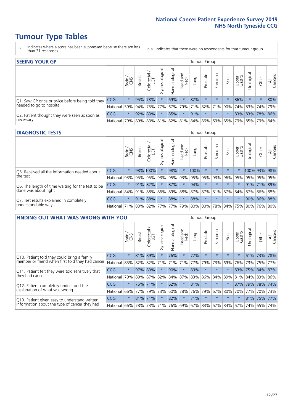# **Tumour Type Tables**

- \* Indicates where a score has been suppressed because there are less than 21 responses.
- n.a. Indicates that there were no respondents for that tumour group.

| <b>SEEING YOUR GP</b>                           |            |         |               |            |                    |                |                                   |      | Tumour Group |         |      |                 |                                         |         |                |
|-------------------------------------------------|------------|---------|---------------|------------|--------------------|----------------|-----------------------------------|------|--------------|---------|------|-----------------|-----------------------------------------|---------|----------------|
|                                                 |            | Brain   | <b>Breast</b> | Colorectal | ᠊ᢛ<br>Gynaecologic | Haematological | Head and<br>Neck                  | Lung | Prostate     | Sarcoma | Skin | Upper<br>Gastro | $\sigma$<br>Irologica                   | Other   | All<br>Cancers |
| Q1. Saw GP once or twice before being told they | <b>CCG</b> | $\star$ |               | 95% 73%    |                    | 69%            | $\star$                           | 82%  | $\star$      | $\star$ |      | 86%             | $\star$                                 | $\star$ | 80%            |
| needed to go to hospital                        | National   | 59%     |               |            | 94% 75% 77%        |                | 67%   79%   71%   82%   71%   90% |      |              |         |      |                 | 74% 83% 74% 79%                         |         |                |
| Q2. Patient thought they were seen as soon as   | <b>CCG</b> | $\star$ |               | 92% 83%    | $\star$            | 85%            | $\star$                           | 91%  | $\star$      | $\star$ |      |                 | 83% 83% 78% 86%                         |         |                |
| necessary                                       | National   | 79%     |               | 89% 83%    |                    |                |                                   |      |              |         |      |                 | 81% 82% 81% 84% 86% 69% 85% 79% 85% 79% |         | 84%            |

#### **DIAGNOSTIC TESTS** Tumour Group

|                                                                   |              | Brain<br>CNS | <b>Breast</b> | Colorectal<br>LGT | ᠊ᢛ<br>Gynaecologic | Haematological | Head and<br>Neck | Lung        | Prostate | Sarcoma | Skin    | Upper<br>Gastro | rological                                           | Other       | All<br>Cancers |
|-------------------------------------------------------------------|--------------|--------------|---------------|-------------------|--------------------|----------------|------------------|-------------|----------|---------|---------|-----------------|-----------------------------------------------------|-------------|----------------|
| O5. Received all the information needed about<br>$\vert$ the test | CCG          | $\star$      |               | 98% 100%          |                    | 98%            | $\star$          | 100%        | $\star$  |         | $\star$ |                 | 100% 93% 98%                                        |             |                |
|                                                                   | National     | 93%          |               | 95% 95%           |                    | 93% 95%        |                  | 93% 95% 95% |          | 93%     | 96%     | 95%             | 95%                                                 | 95% 95%     |                |
| Q6. The length of time waiting for the test to be                 | <b>CCG</b>   | $\star$      | 91%           | 82%               | $\star$            | 87%            | $\star$          | 94%         | $\star$  | $\star$ | $\star$ | $\star$         |                                                     | 91% 71% 89% |                |
| done was about right                                              | National     |              |               | 84% 91% 88%       |                    |                |                  |             |          |         |         |                 | 86% 89% 88% 87% 87% 81% 87% 84% 87% 86% 88%         |             |                |
| Q7. Test results explained in completely                          | <b>CCG</b>   | $\star$      |               | 91% 88%           | $\star$            | 88%            | $\star$          | 88%         | $\star$  | $\star$ | $\star$ | $\star$         |                                                     | 90% 86% 88% |                |
| understandable way                                                | National 71% |              |               |                   |                    |                |                  |             |          |         |         |                 | 83% 82% 77% 77% 79% 80% 80% 78% 84% 75% 80% 76% 80% |             |                |

| <b>FINDING OUT WHAT WAS WRONG WITH YOU</b>                                                      |          |         |               |                       |                |                   |                        |         | <b>Tumour Group</b> |         |         |                 |            |         |                |
|-------------------------------------------------------------------------------------------------|----------|---------|---------------|-----------------------|----------------|-------------------|------------------------|---------|---------------------|---------|---------|-----------------|------------|---------|----------------|
|                                                                                                 |          | Brain   | <b>Breast</b> | olorectal<br>LGT<br>Û | Gynaecological | aematologica<br>エ | ad and<br>Neck<br>Head | Lung    | Prostate            | Sarcoma | Skin    | Upper<br>Gastro | Urological | Other   | All<br>Cancers |
| Q10. Patient told they could bring a family<br>member or friend when first told they had cancer | CCG      | $\star$ | 81%           | 89%                   | $\star$        | 76%               | $\star$                | 72%     | $\star$             | $\star$ | $\star$ | $\star$         |            | 61% 73% | 78%            |
|                                                                                                 | National | 85%     | 82%           | 82%                   | 71%            | 71%               | 71%                    | 77%     | 79%                 | 73%     | 69%     | 76%             | 73%        | 75%     | 77%            |
| Q11. Patient felt they were told sensitively that                                               | CCG      | $\star$ | 97% 80%       |                       |                | 90%               | $\star$                | 89%     | $\star$             | $\star$ | $\ast$  | 83%             | 75%        | 84%     | 87%            |
| they had cancer                                                                                 | National | 79%     |               | 89% 87% 82%           |                |                   | 84% 87%                | 83% 86% |                     | 84%     | 89%     | 81%             |            | 84% 83% | 86%            |
| Q12. Patient completely understood the                                                          | CCG      | $\star$ | 75%           | 71%                   |                | 62%               | $\star$                | 81%     | $\star$             | $\star$ |         | 87%             | 79%        | 78%     | 174%           |
| explanation of what was wrong                                                                   | National | 66%     | 77%           | 79%                   | 73%            | 60%               | 78%                    | 76%     | 79%                 | 67%     | 80%     | 70%             | 77%        |         | 70% 73%        |
| Q13. Patient given easy to understand written                                                   | CCG      | $\star$ | 81% 71%       |                       |                | 82%               | $\star$                | 71%     | $\star$             | $\star$ | $\star$ | $\star$         |            | 81% 75% | 77%            |
| information about the type of cancer they had                                                   | National | 66%     | 78%           | 73%                   | 71%            | 76%               | 69%                    | 67% 83% |                     |         | 67% 84% | 67%             | 74%        | 65%     | 74%            |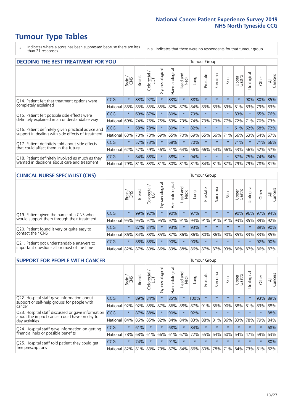# **Tumour Type Tables**

\* Indicates where a score has been suppressed because there are less than 21 responses.

n.a. Indicates that there were no respondents for that tumour group.

| <b>DECIDING THE BEST TREATMENT FOR YOU</b>         |            |         |               |                             |                |                |                        |      | <b>Tumour Group</b> |                                     |         |                 |            |             |                |
|----------------------------------------------------|------------|---------|---------------|-----------------------------|----------------|----------------|------------------------|------|---------------------|-------------------------------------|---------|-----------------|------------|-------------|----------------|
|                                                    |            | Brain   | <b>Breast</b> | blorectal.<br>LGT<br>$\cup$ | Gynaecological | Haematological | ad and<br>Neck<br>Head | Lung | Prostate            | Sarcoma                             | Skin    | Upper<br>Gastro | Jrological | Other       | All<br>Cancers |
| Q14. Patient felt that treatment options were      | CCG        | $\star$ | 83%           | 92%                         | $\star$        | 83%            | $\star$                | 88%  | $\star$             | 大                                   |         | $\star$         | 90%        | 80%         | 85%            |
| completely explained                               | National   | 85%     | 85%           | 85%                         | 85%            | 82%            | 87%                    | 84%  | 83%                 | 83%                                 | 89%     | 81%             | 83%        | 79% 83%     |                |
| Q15. Patient felt possible side effects were       | <b>CCG</b> | $\star$ | 69%           | 87%                         | $\star$        | 80%            | $\star$                | 79%  | $\star$             | $\star$                             |         | 83%             | $^\star$   | 65%         | 76%            |
| definitely explained in an understandable way      | National   | 69%     | 74%           | 76%                         | 75%            | 69%            | 73%                    | 74%  | 73%                 | 73%                                 | 77%     | 72%             | 71%        | 70%         | 73%            |
| Q16. Patient definitely given practical advice and | <b>CCG</b> | $\star$ | 68%           | 78%                         | $\star$        | 80%            | $\star$                | 82%  | $\star$             | $\star$                             |         | 61%             |            | 62% 68% 72% |                |
| support in dealing with side effects of treatment  | National   | 63%     | 70%           | 70%                         | 69%            | 65%            | 70%                    | 69%  | 65%                 | 66%                                 | 71%     | 66%             | 63%        | 64%         | 67%            |
| Q17. Patient definitely told about side effects    | CCG        | $\star$ | 57%           | 73%                         | $\star$        | 68%            | $\star$                | 70%  | $\star$             | $\star$                             | $\star$ | 71%             | $^\star$   | 71%         | 66%            |
| that could affect them in the future               | National   | 62%     | 57%           | 59%                         | 56%            | 51%            | 64%                    | 56%  | 66%                 | 54%                                 | 66%     | 53%             | 56%        | 52%         | 57%            |
| Q18. Patient definitely involved as much as they   | CCG        | $\star$ | 84%           | 88%                         | $\star$        | 88%            | $\star$                | 94%  | $\star$             | $\star$                             |         | $87\%$          | 75%        | 74% 84%     |                |
| wanted in decisions about care and treatment       | National   | 79%     |               |                             |                |                |                        |      |                     | 81% 83% 81% 80% 81% 81% 84% 81% 87% |         | 79%             | 79%        | 78% 81%     |                |

#### **CLINICAL NURSE SPECIALIST (CNS)** Tumour Group

|                                                                                        |          | Brain   | <b>Breast</b>   | Colorectal<br>LGT | ᠊ᢛ<br>Gynaecologic | $\overline{\sigma}$<br>ت<br>aematologi | Head and<br>Neck        | Lung    | Prostate | Sarcoma | Skin    | Upper<br>Gastro | $\overline{\sigma}$<br>Irologica | Other       | All<br>Cancers |
|----------------------------------------------------------------------------------------|----------|---------|-----------------|-------------------|--------------------|----------------------------------------|-------------------------|---------|----------|---------|---------|-----------------|----------------------------------|-------------|----------------|
| Q19. Patient given the name of a CNS who<br>would support them through their treatment | CCG      | $\star$ | 99%             | 92%               |                    | 90%                                    | $\star$                 | 97%     | $\star$  | $\star$ |         | 90%             |                                  | 96% 97% 94% |                |
|                                                                                        | National | 95%     | 95%             | 92%               | 95%                | 92%                                    | 91%                     |         | 94% 91%  |         | 91% 91% | 93%             | 85%                              | 89%         | 92%            |
| Q20. Patient found it very or quite easy to                                            | CCG      | $\star$ |                 | 87% 84%           |                    | 93%                                    | $\star$                 | 93%     | $\star$  | $\star$ | $\star$ | $\star$         |                                  |             | 89% 90%        |
| contact their CNS                                                                      | National |         | 86% 84% 88% 85% |                   |                    | 87%                                    | 86%                     | 86% 80% |          |         |         | 86% 90% 85%     | 83%                              | 83%         | 85%            |
| Q21. Patient got understandable answers to                                             | CCG      | $\star$ | 88%             | 88%               |                    | 90%                                    | $\star$                 | 90%     | $\star$  | $\star$ | $\star$ | $\star$         |                                  | 92%         | 90%            |
| important questions all or most of the time                                            | National |         | 82% 87% 89% 86% |                   |                    |                                        | 89% 88% 86% 87% 87% 93% |         |          |         |         |                 | 86% 87%                          | 86%         | 87%            |

| <b>SUPPORT FOR PEOPLE WITH CANCER</b>                                                             |            |         |               |            |                |                |                     |         | Tumour Group |                  |         |                 |           |         |                |
|---------------------------------------------------------------------------------------------------|------------|---------|---------------|------------|----------------|----------------|---------------------|---------|--------------|------------------|---------|-----------------|-----------|---------|----------------|
|                                                                                                   |            | Brain   | <b>Breast</b> | Colorectal | Gynaecological | Haematological | and<br>Neck<br>Head | Lung    | Prostate     | arcoma<br>$\sim$ | Skin    | Upper<br>Gastro | Jrologica | Other   | All<br>Cancers |
| Q22. Hospital staff gave information about                                                        | <b>CCG</b> | $\star$ | 89%           | 84%        | $\star$        | 85%            | $\star$             | 100%    | $\star$      | $\star$          | $\star$ | $\star$         | $\star$   | 93%     | 89%            |
| support or self-help groups for people with<br>cancer                                             | National   | 92%     | 92%           | 88%        | 87%            | 86%            | 88%                 | 87%     | 91%          | 86%              | 90%     | 88%             | 81%       | 83%     | 88%            |
| Q23. Hospital staff discussed or gave information<br>about the impact cancer could have on day to | CCG.       | $\star$ | 87%           | 88%        | $\star$        | 90%            | $\ast$              | 92%     | $\star$      | $\star$          | $\star$ | $\star$         | $\star$   | $\star$ | 88%            |
| day activities                                                                                    | National   | 84%     | 86%           | 85%        | 82%            | 84%            | 84%                 | 83%     | 88%          | 81%              | 86%     | 83%             | 78%       | 79%     | 84%            |
| Q24. Hospital staff gave information on getting                                                   | <b>CCG</b> | $\star$ | 61%           | $\star$    | $\star$        | 68%            | $\ast$              | 84%     | $\star$      | $\star$          |         | $\star$         | $\star$   | $\star$ | 68%            |
| financial help or possible benefits                                                               | National   | 78%     | 68%           | 61%        | 66%            | 61%            | 67%                 | 72%     | 55%          | 64%              | 60%     | 64%             | 47%       | 59%     | 63%            |
| Q25. Hospital staff told patient they could get                                                   | <b>CCG</b> | $\star$ | 74%           | $\star$    | $\star$        | 91%            | $\star$             | $\star$ | $\star$      | $\star$          |         | $\star$         | $\star$   | $\ast$  | 80%            |
| free prescriptions                                                                                | National   | 82%     | 81%           | 83%        | 79%            | 87%            | 84%                 | 86%     | 80%          | 78%              | 71%     | 84%             | 73%       | 81%     | 82%            |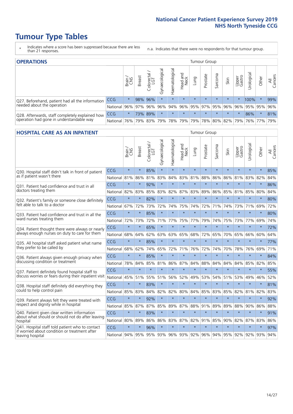# **Tumour Type Tables**

- \* Indicates where a score has been suppressed because there are less than 21 responses.
- n.a. Indicates that there were no respondents for that tumour group.

| <b>OPERATIONS</b>                                |          |              |               |                   |                   |                |                         |             | Tumour Group |         |                 |                 |            |         |                    |
|--------------------------------------------------|----------|--------------|---------------|-------------------|-------------------|----------------|-------------------------|-------------|--------------|---------|-----------------|-----------------|------------|---------|--------------------|
|                                                  |          | Brain<br>CNS | <b>Breast</b> | Colorectal<br>LGT | ক<br>Gynaecologic | Haematological | Head and<br>Neck        | <b>Gunn</b> | Prostate     | Sarcoma | Skin            | Upper<br>Gastro | Jrological | Other   | All<br>ancers<br>Ü |
| Q27. Beforehand, patient had all the information | CCG      | $\star$      |               | 98% 96%           | $\star$           | $\star$        | $\star$                 | $\star$     | $\star$      | $\star$ | $\star$         | $\star$         | 100%       | $\star$ | 99%                |
| needed about the operation                       | National | 96%          | 97%           | 96%               | 96%               |                | 94% 96% 95% 97% 95% 96% |             |              |         |                 | 96%             | 95% 95%    |         | 96%                |
| Q28. Afterwards, staff completely explained how  | CCG      | $\star$      |               | 73% 89%           | $\star$           | $\star$        | $\star$                 | $\star$     | $\star$      | $\star$ | $\star$         | $\star$         | 86%        | $\star$ | 81%                |
| operation had gone in understandable way         | National | 76%          |               | 79% 83%           | 79%               |                | 78% 79%                 |             |              |         | 79% 78% 80% 82% | 79%             |            | 76% 77% | 79%                |

#### **HOSPITAL CARE AS AN INPATIENT** Tumour Group

|                                                                                                                      |            | Brain   | <b>Breast</b> | Colorectal /<br>LGT | Gynaecological | Haematological | Head and<br>Neck | Lung        | Prostate | Sarcoma | Skin            | Upper<br>Gastro | Urological | Other   | Cancers<br>$\equiv$ |
|----------------------------------------------------------------------------------------------------------------------|------------|---------|---------------|---------------------|----------------|----------------|------------------|-------------|----------|---------|-----------------|-----------------|------------|---------|---------------------|
| Q30. Hospital staff didn't talk in front of patient                                                                  | CCG        | $\star$ | $\star$       | 85%                 | $\star$        | $\star$        | $\star$          | $\star$     | $\star$  | $\star$ | $\star$         | $\star$         | $\star$    | $\star$ | 85%                 |
| as if patient wasn't there                                                                                           | National   | 81%     | 86%           | 81%                 | 83%            | 84%            | 83%              | 81%         | 88%      | 86%     | 86%             | 81%             | 83%        | 82%     | 84%                 |
| 031. Patient had confidence and trust in all                                                                         | CCG        | $\star$ | $\star$       | 92%                 | $\star$        | $\star$        | $\star$          | $\star$     | $\star$  | $\star$ | $\star$         |                 | $\star$    | $\star$ | 86%                 |
| doctors treating them                                                                                                | National   | 82%     | 83%           | 85%                 | 83%            | 82%            |                  | 87% 83%     | 89%      | 86%     | 85%             | 81%             | 85%        | 80%     | 84%                 |
| Q32. Patient's family or someone close definitely<br>felt able to talk to a doctor                                   | CCG        | $\star$ | $\star$       | 82%                 | $\star$        | $\star$        | $\star$          | $\star$     | $\star$  | $\star$ | $\star$         | $\star$         | $\star$    | $\star$ | 80%                 |
|                                                                                                                      | National   | 67%     | 72%           | 73%                 | 72%            | 74%            | 75%              | 74%         | 72%      | 71%     | 74%             | 73%             | 71%        | 69%     | 72%                 |
| Q33. Patient had confidence and trust in all the<br>ward nurses treating them                                        | CCG        | $\star$ | $\star$       | 85%                 | $\star$        | $\star$        | $\star$          | $\star$     | $\star$  | $\star$ | $\star$         | $\star$         | $\star$    | $\star$ | 80%                 |
|                                                                                                                      | National   | 72%     | 73%           | 72%                 | 71%            | 77%            |                  | 75% 77%     | 79%      | 74%     | 75%             | 73%             | 77%        | 69%     | 74%                 |
| Q34. Patient thought there were always or nearly<br>always enough nurses on duty to care for them                    | CCG        | $\star$ | $\star$       | 65%                 | $\star$        | $\star$        | $\star$          | $\star$     | $\star$  | $\star$ | $\star$         |                 | $\star$    | $\star$ | 72%                 |
|                                                                                                                      | National   | 68%     | 64%           | 62%                 | 63%            | 63%            | 65%              | 68%         | 72%      | 65%     | 70%             | 65%             | 66%        | 60%     | 64%                 |
| Q35. All hospital staff asked patient what name<br>they prefer to be called by                                       | CCG        | $\star$ | $\star$       | 85%                 | $\star$        | $\star$        | $\star$          | $\star$     | $\star$  | $\star$ | $\star$         | $\star$         | $\star$    | $\star$ | 77%                 |
|                                                                                                                      | National   | 68%     | 62%           | 74%                 | 65%            | 72%            |                  | 71% 76%     | 72%      | 74%     | 70%             | 78%             | 76%        | 69%     | 71%                 |
| Q36. Patient always given enough privacy when                                                                        | CCG        | $\star$ | $\star$       | 85%                 | $\star$        | $\star$        | $\star$          | $\star$     | $\star$  | $\star$ | $\star$         | $\star$         | $\star$    | $\star$ | 84%                 |
| discussing condition or treatment                                                                                    | National   | 78%     | 84%           | 85%                 | 81%            | 86%            |                  | 87% 84%     | 88%      | 84%     | 84%             | 84%             | 85%        | 82%     | 85%                 |
| Q37. Patient definitely found hospital staff to                                                                      | <b>CCG</b> | $\star$ | $\star$       | $\star$             | $\star$        | $\star$        | $\star$          | $\star$     | $\star$  | $\star$ | $\star$         | $\star$         | $\star$    | $\star$ | 55%                 |
| discuss worries or fears during their inpatient visit                                                                | National   | 45%     | 51%           | 55%                 | 51%            | 56%            | 52%              | 49%         | 53%      | 54%     | 51%             | 53%             | 49%        | 46%     | 52%                 |
| Q38. Hospital staff definitely did everything they                                                                   | CCG        | $\star$ | $\star$       | 83%                 | $\star$        | $\star$        | $\star$          | $\star$     | $\star$  | $\star$ | $\star$         | $\star$         | $\star$    | $\star$ | 81%                 |
| could to help control pain                                                                                           | National   | 85%     | 83%           | 84%                 | 82%            | 82%            | 80%              | 84%         | 85%      | 83%     | 85%             | 82%             | 81%        | 82%     | 83%                 |
| Q39. Patient always felt they were treated with                                                                      | CCG        | $\star$ | $\star$       | 92%                 | $\star$        | $\star$        | $\star$          | $\star$     | $\star$  | $\star$ | $\star$         | $\star$         | $\star$    | $\star$ | 92%                 |
| respect and dignity while in hospital                                                                                | National   | 85%     | 87%           | 87%                 | 85%            | 89%            | 87%              | 88%         | 91%      | 89%     | 89%             | 88%             | 90%        | 86%     | 88%                 |
| Q40. Patient given clear written information<br>about what should or should not do after leaving                     | CCG        | $\star$ | $\star$       | 83%                 | $\star$        | $\star$        | $\star$          | $\star$     | $\star$  | $\star$ | $\star$         | $\star$         | $\star$    | $\star$ | 91%                 |
| hospital                                                                                                             | National   | 80%     | 89%           | 86%                 | 86%            | 83%            |                  | 87% 82%     | 91%      | 85%     | 90%             | 82%             | 87%        | 83%     | 86%                 |
| Q41. Hospital staff told patient who to contact<br>if worried about condition or treatment after<br>leaving hospital | CCG        | $\star$ | $\star$       | 96%                 | $\star$        | $\star$        | $\star$          | $\star$     | $\star$  | $\star$ | $\star$         | $\star$         | $\star$    | $\star$ | 97%                 |
|                                                                                                                      | National I | 94%     | 95%           |                     | 95% 93%        |                |                  | 96% 93% 92% |          |         | 96% 94% 95% 92% |                 | 92%        | 93%     | 94%                 |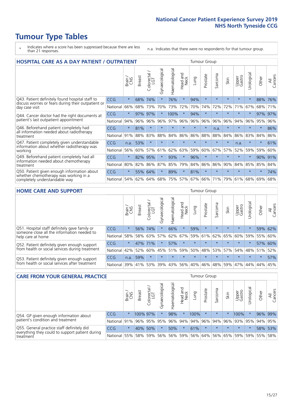# **Tumour Type Tables**

- \* Indicates where a score has been suppressed because there are less than 21 responses.
- n.a. Indicates that there were no respondents for that tumour group.

| <b>HOSPITAL CARE AS A DAY PATIENT / OUTPATIENT</b>                                                                    |            |         |               |                 |                |                |                         | <b>Tumour Group</b> |          |                            |         |                 |            |         |                |  |
|-----------------------------------------------------------------------------------------------------------------------|------------|---------|---------------|-----------------|----------------|----------------|-------------------------|---------------------|----------|----------------------------|---------|-----------------|------------|---------|----------------|--|
|                                                                                                                       |            | Brain   | <b>Breast</b> | ╮<br>Colorectal | Gynaecological | Haematological | ead and<br>Neck<br>Head | Lung                | Prostate | arcoma<br>$\tilde{\Omega}$ | Skin    | Upper<br>Gastro | Urological | Other   | All<br>Cancers |  |
| Q43. Patient definitely found hospital staff to                                                                       | CCG        | $\star$ | 68%           | 74%             | $\star$        | 76%            | $\star$                 | 94%                 | $\star$  | $\star$                    | $\star$ | $\star$         | $\star$    | 88%     | 76%            |  |
| discuss worries or fears during their outpatient or<br>day case visit                                                 | National   | 66%     | 68%           | 73%             | 70%            | 73%            | 72%                     | 70%                 | 74%      | 72%                        | 72%     | 71%             | 67%        | 68%     | 71%            |  |
| Q44. Cancer doctor had the right documents at<br>patient's last outpatient appointment                                | CCG        | $\star$ | 97%           | 97%             |                | 100%           | $\star$                 | 94%                 | $\star$  | $\star$                    |         | $\star$         | $\star$    | 97%     | 97%            |  |
|                                                                                                                       | National   | 94%     | 96%           | 96%             | 96%            | 97%            | 96%                     | 96%                 | 96%      | 96%                        | 96%     | 94%             | 96%        | 95%     | 96%            |  |
| Q46. Beforehand patient completely had                                                                                | <b>CCG</b> | $\star$ | 81%           | $\star$         | $\star$        | $\star$        | $\star$                 | $\star$             | $\star$  | n.a.                       | 大       | $\star$         | $\star$    | $\star$ | 86%            |  |
| all information needed about radiotherapy<br>treatment                                                                | National   | 91%     | 88%           | 83%             | 88%            | 84%            | 86%                     | 86%                 | 88%      | 88%                        | 84%     | 86%             | 83%        | 84%     | 86%            |  |
| Q47. Patient completely given understandable                                                                          | <b>CCG</b> | n.a.    | 53%           | $\star$         | $\star$        |                | $\star$                 | $\star$             | $\star$  | $\star$                    | $\star$ | n.a.            | $\star$    | $\star$ | 61%            |  |
| information about whether radiotherapy was<br>working                                                                 | National   | 56%     | 60%           | 57%             | 61%            | 62%            | 63%                     | 59%                 | 60%      | 67%                        | 57%     | 52%             | 59%        | 59%     | 60%            |  |
| Q49. Beforehand patient completely had all                                                                            | <b>CCG</b> | $\star$ | 82%           | 95%             | $\star$        | 93%            | $\star$                 | 96%                 | $\star$  | $\star$                    | $\star$ | $\star$         | $\star$    | 90%     | 91%            |  |
| information needed about chemotherapy<br>treatment                                                                    | National   | 80%     | 82%           | 86%             | 87%            | 85%            | 79%                     | 84%                 | 86%      | 86%                        | 90%     | 84%             | 85%        | 85%     | 84%            |  |
| Q50. Patient given enough information about<br>whether chemotherapy was working in a<br>completely understandable way | <b>CCG</b> | $\star$ | 55%           | 64%             | $\star$        | 89%            | $\star$                 | 81%                 | $\star$  | $\star$                    |         | $\star$         | $\star$    | $\star$ | 74%            |  |
|                                                                                                                       | National   | 54%     | 62%           | 64%             | 68%            | 75%            |                         | 57% 67%             | 66%      | 71%                        | 79%     | 61%             | 68%        | 69%     | 68%            |  |

#### **HOME CARE AND SUPPORT** Tumour Group

|                                                                                                                   |            | Brain   | <b>Breast</b> | Colorectal<br>LGT | ᢛ<br>Gynaecologic | Haematological | ad and<br>Neck<br>Head | <b>Lung</b> | Prostate | Sarcoma | Skin    | Upper<br>Gastro | Urological  | Other   | All<br>Cancers |
|-------------------------------------------------------------------------------------------------------------------|------------|---------|---------------|-------------------|-------------------|----------------|------------------------|-------------|----------|---------|---------|-----------------|-------------|---------|----------------|
| Q51. Hospital staff definitely gave family or<br>someone close all the information needed to<br>help care at home | <b>CCG</b> | $\star$ | 56%           | 74%               | $\star$           | 66%            | $\star$                | 59%         | $\star$  | $\star$ | $\star$ | $\star$         | $\star$     | 59%     | 62%            |
|                                                                                                                   | National   | 58%     | 58%           | 63%               | 57%               | 62%            | 67%                    | 59%         | 61%      |         | 62% 65% | 60% 59%         |             | 55%     | 60%            |
| Q52. Patient definitely given enough support<br>from health or social services during treatment                   | <b>CCG</b> | $\star$ |               | 47% 71%           | $\star$           | 57%            | $\star$                | $\star$     | $\star$  |         | $\star$ | $\star$         | $\star$     |         | 57% 60%        |
|                                                                                                                   | National   | 42%     | 52%           | 60%               |                   | 45% 51%        | 59%                    | $50\%$      | 48%      |         | 53% 57% |                 | 54% 48% 51% |         | 52%            |
| Q53. Patient definitely given enough support<br>from health or social services after treatment                    | <b>CCG</b> | n.a.    | 59%           |                   | $\star$           | $\star$        | $\star$                | $\star$     | $\star$  | $\star$ | $\star$ | $\star$         | $\star$     | $\star$ | 57%            |
|                                                                                                                   | National   | 39%     |               | 41% 53%           | 39%               | 43%            | 56%                    | 40%         | 46%      |         | 48% 59% | 47%             | 44%         | 44%     | 45%            |

| <b>CARE FROM YOUR GENERAL PRACTICE</b>                                                                     |              |         |               |                        |                |                | <b>Tumour Group</b> |                             |          |         |         |                 |                       |             |                |
|------------------------------------------------------------------------------------------------------------|--------------|---------|---------------|------------------------|----------------|----------------|---------------------|-----------------------------|----------|---------|---------|-----------------|-----------------------|-------------|----------------|
|                                                                                                            |              | Brain,  | <b>Breast</b> | ー<br>Colorectal<br>LGT | Gynaecological | Haematological | Head and<br>Neck    | Lung                        | Prostate | Sarcoma | Skin    | Upper<br>Gastro | $\sigma$<br>Urologica | Other       | All<br>Cancers |
| Q54. GP given enough information about<br>patient's condition and treatment                                | CCG          | $\star$ | 100% 97%      |                        |                | 98%            | $\ast$              | 100%                        | $\star$  | $\star$ |         | 100%            | $\star$               |             | 96% 99%        |
|                                                                                                            | National     | 91%     |               |                        | 96% 95% 95%    |                |                     | 96% 94% 94% 96%             |          |         |         | 94% 96% 93% 95% |                       | 94% 95%     |                |
| Q55. General practice staff definitely did<br>everything they could to support patient during<br>treatment | <b>CCG</b>   | $\star$ | 40% 50%       |                        |                | 50%            | $\star$             | 61%                         | $\star$  | $\star$ | $\star$ | $\star$         |                       |             | 58% 53%        |
|                                                                                                            | National 55% |         |               | 58% 59%                | 56%            |                |                     | 56% 59% 56% 64% 56% 65% 59% |          |         |         |                 |                       | 59% 55% 58% |                |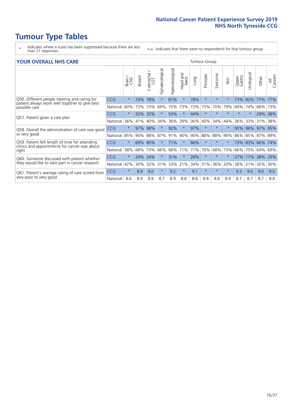# **Tumour Type Tables**

- \* Indicates where a score has been suppressed because there are less than 21 responses.
- n.a. Indicates that there were no respondents for that tumour group.

#### **YOUR OVERALL NHS CARE** THE TWO CONTROLLER THE THE THROUP CHANGE THE TUMOUR GROUP

|                                                                                                                  |            | Brain   | <b>Breast</b> | Colorectal<br>LGT | Gynaecological | Haematological | Head and<br>Neck | Lung | Prostate | Sarcoma | Skin    | Upper<br>Gastro | Urologica   | Other | All<br>Cancers |
|------------------------------------------------------------------------------------------------------------------|------------|---------|---------------|-------------------|----------------|----------------|------------------|------|----------|---------|---------|-----------------|-------------|-------|----------------|
| Q56. Different people treating and caring for<br>patient always work well together to give best<br>possible care | <b>CCG</b> | $\star$ | 74%           | 78%               | $\star$        | 81%            | $\ast$           | 78%  | $\star$  | $\star$ | $\star$ | 73%             | 82%         | 77%   | 77%            |
|                                                                                                                  | National   | 60%     | 73%           | 73%               | 69%            |                | 75% 73%          | 73%  | 75%      | 70%     | 79%     | 69%             | 74%         | 68%   | 73%            |
| Q57. Patient given a care plan                                                                                   | <b>CCG</b> | $\star$ | 32%           | 32%               |                | 53%            | $\ast$           | 44%  | $\star$  | $\star$ | $\star$ | $\star$         | $\star$     | 29%   | 38%            |
|                                                                                                                  | National   | 36%     | 41%           | 40%               | 34%            | 36%            | 39%              | 36%  | 40%      | 34%     | 44%     | 36%             | 33%         | 31%   | 38%            |
| Q58. Overall the administration of care was good                                                                 | <b>CCG</b> | $\star$ | 97%           | 98%               |                | 92%            | $\ast$           | 97%  | $\star$  | $\star$ | $\star$ | 95%             | 96%         | 97%   | 95%            |
| or very good                                                                                                     | National   | 85%     | 90%           | 88%               | 87%            | 91%            | 90%              | 90%  | 88%      | 88%     | 90%     |                 | 86% 85%     | 87%   | 89%            |
| Q59. Patient felt length of time for attending                                                                   | <b>CCG</b> | $\star$ | 69%           | 80%               |                | 71%            | $\star$          | 86%  | $\star$  | $\star$ | $\star$ |                 | 73% 83% 66% |       | 74%            |
| clinics and appointments for cancer was about<br>right                                                           | National   | 58%     | 68%           | 73%               | 66%            | 66%            | 71%              | 71%  | 76%      | 68%     | 73%     | 66%             | 75%         | 64%   | 69%            |
| Q60. Someone discussed with patient whether                                                                      | <b>CCG</b> | $\star$ | 24%           | 24%               |                | 31%            | $\star$          | 28%  | $\star$  | $\star$ | $\star$ | 27%             | 17%         | 38%   | 29%            |
| they would like to take part in cancer research                                                                  | National   | 42%     | 30%           | 32%               | 31%            | 33%            | 21%              | 34%  | 31%      | 36%     | 20%     | 36%             | 21%         | 32%   | 30%            |
| Q61. Patient's average rating of care scored from                                                                | <b>CCG</b> | $\star$ | 8.9           | 9.0               | $\star$        | 9.2            | $\ast$           | 9.1  | $\star$  | $\star$ | $\ast$  | 9.3             | 9.0         | 9.0   | 9.0            |
| very poor to very good                                                                                           | National   | 8.6     | 8.9           | 8.8               | 8.7            | 8.9            | 8.8              | 8.8  | 8.8      | 8.8     | 8.9     | 8.7             | 8.7         | 8.7   | 8.8            |
|                                                                                                                  |            |         |               |                   |                |                |                  |      |          |         |         |                 |             |       |                |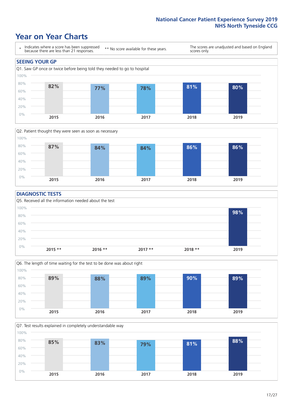### **Year on Year Charts**





#### **DIAGNOSTIC TESTS**





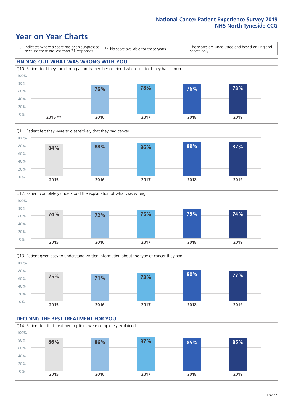### **Year on Year Charts**

\* Indicates where a score has been suppressed because there are less than 21 responses.

\*\* No score available for these years.

The scores are unadjusted and based on England scores only.

#### **FINDING OUT WHAT WAS WRONG WITH YOU** Q10. Patient told they could bring a family member or friend when first told they had cancer 0% 20% 40% 60% 80% 100% **2015 \*\* 2016 2017 2018 2019 76% 78% 76% 78%**







#### **DECIDING THE BEST TREATMENT FOR YOU**

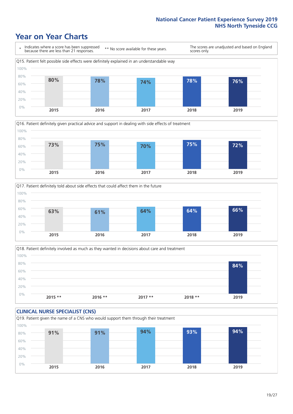### **Year on Year Charts**









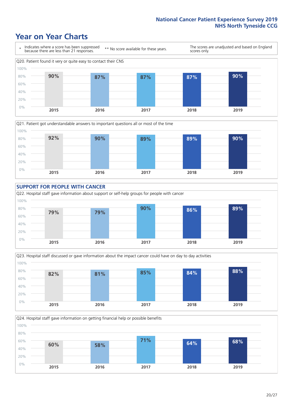### **Year on Year Charts**











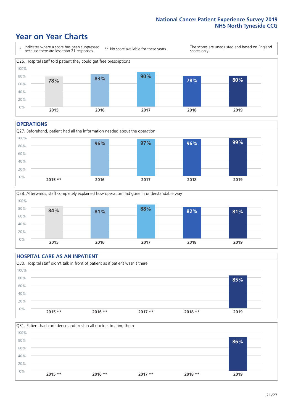### **Year on Year Charts**



#### **OPERATIONS**





#### **HOSPITAL CARE AS AN INPATIENT** Q30. Hospital staff didn't talk in front of patient as if patient wasn't there 0% 20% 40% 60% 80% 100% **2015 \*\* 2016 \*\* 2017 \*\* 2018 \*\* 2019 85%**

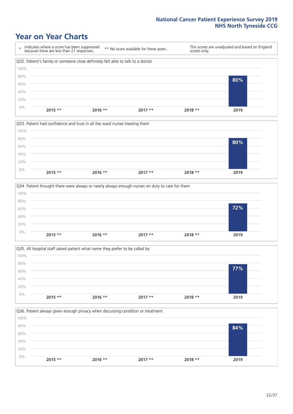### **Year on Year Charts**









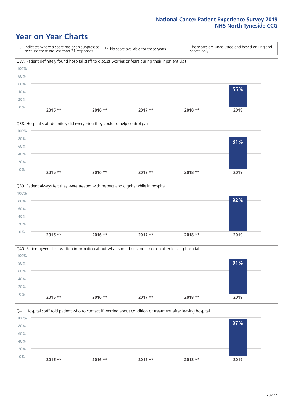### **Year on Year Charts**

\* Indicates where a score has been suppressed because there are less than 21 responses. \*\* No score available for these years. The scores are unadjusted and based on England scores only. Q37. Patient definitely found hospital staff to discuss worries or fears during their inpatient visit 0% 20% 40% 60% 80% 100% **2015 \*\* 2016 \*\* 2017 \*\* 2018 \*\* 2019 55%**

![](_page_22_Figure_3.jpeg)

![](_page_22_Figure_4.jpeg)

Q40. Patient given clear written information about what should or should not do after leaving hospital  $0%$ 20% 40% 60% 80% 100% **2015 \*\* 2016 \*\* 2017 \*\* 2018 \*\* 2019 91%**

![](_page_22_Figure_6.jpeg)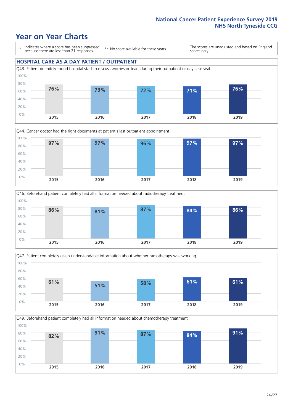### **Year on Year Charts**

\* Indicates where a score has been suppressed because there are less than 21 responses.

\*\* No score available for these years.

The scores are unadjusted and based on England scores only.

#### **HOSPITAL CARE AS A DAY PATIENT / OUTPATIENT**

![](_page_23_Figure_6.jpeg)

![](_page_23_Figure_7.jpeg)

![](_page_23_Figure_8.jpeg)

![](_page_23_Figure_9.jpeg)

Q49. Beforehand patient completely had all information needed about chemotherapy treatment 100%

![](_page_23_Figure_11.jpeg)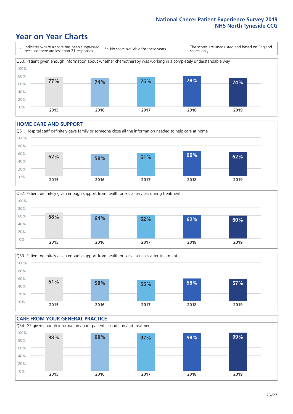### **Year on Year Charts**

![](_page_24_Figure_2.jpeg)

#### **HOME CARE AND SUPPORT**

![](_page_24_Figure_4.jpeg)

![](_page_24_Figure_5.jpeg)

![](_page_24_Figure_6.jpeg)

#### **CARE FROM YOUR GENERAL PRACTICE** Q54. GP given enough information about patient's condition and treatment 0% 20% 40% 60% 80% 100% **2015 2016 2017 2018 2019 98% 98% 97% 98% 99%**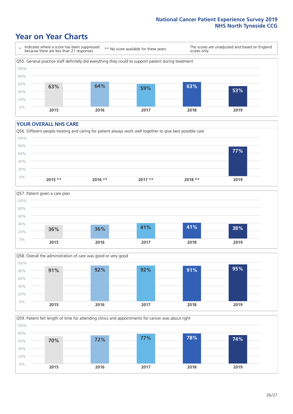### **Year on Year Charts**

\* Indicates where a score has been suppressed because there are less than 21 responses.

\*\* No score available for these years.

The scores are unadjusted and based on England scores only.

![](_page_25_Figure_5.jpeg)

#### **YOUR OVERALL NHS CARE**

![](_page_25_Figure_7.jpeg)

![](_page_25_Figure_8.jpeg)

![](_page_25_Figure_9.jpeg)

Q59. Patient felt length of time for attending clinics and appointments for cancer was about right 100%

![](_page_25_Figure_11.jpeg)